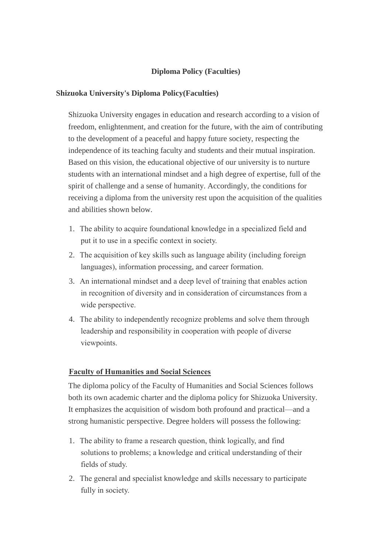## **Diploma Policy (Faculties)**

### **Shizuoka University's Diploma Policy(Faculties)**

Shizuoka University engages in education and research according to a vision of freedom, enlightenment, and creation for the future, with the aim of contributing to the development of a peaceful and happy future society, respecting the independence of its teaching faculty and students and their mutual inspiration. Based on this vision, the educational objective of our university is to nurture students with an international mindset and a high degree of expertise, full of the spirit of challenge and a sense of humanity. Accordingly, the conditions for receiving a diploma from the university rest upon the acquisition of the qualities and abilities shown below.

- 1. The ability to acquire foundational knowledge in a specialized field and put it to use in a specific context in society.
- 2. The acquisition of key skills such as language ability (including foreign languages), information processing, and career formation.
- 3. An international mindset and a deep level of training that enables action in recognition of diversity and in consideration of circumstances from a wide perspective.
- 4. The ability to independently recognize problems and solve them through leadership and responsibility in cooperation with people of diverse viewpoints.

### **Faculty of Humanities and Social Sciences**

The diploma policy of the Faculty of Humanities and Social Sciences follows both its own academic charter and the diploma policy for Shizuoka University. It emphasizes the acquisition of wisdom both profound and practical—and a strong humanistic perspective. Degree holders will possess the following:

- 1. The ability to frame a research question, think logically, and find solutions to problems; a knowledge and critical understanding of their fields of study.
- 2. The general and specialist knowledge and skills necessary to participate fully in society.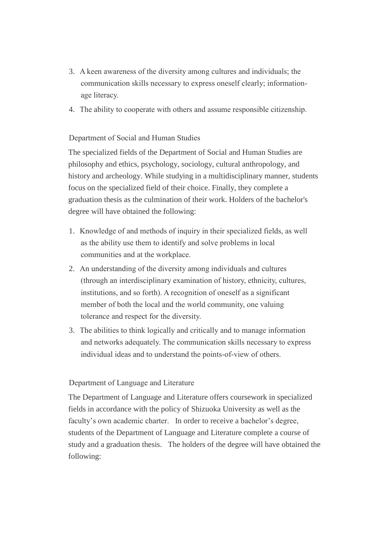- 3. A keen awareness of the diversity among cultures and individuals; the communication skills necessary to express oneself clearly; informationage literacy.
- 4. The ability to cooperate with others and assume responsible citizenship.

# Department of Social and Human Studies

The specialized fields of the Department of Social and Human Studies are philosophy and ethics, psychology, sociology, cultural anthropology, and history and archeology. While studying in a multidisciplinary manner, students focus on the specialized field of their choice. Finally, they complete a graduation thesis as the culmination of their work. Holders of the bachelor's degree will have obtained the following:

- 1. Knowledge of and methods of inquiry in their specialized fields, as well as the ability use them to identify and solve problems in local communities and at the workplace.
- 2. An understanding of the diversity among individuals and cultures (through an interdisciplinary examination of history, ethnicity, cultures, institutions, and so forth). A recognition of oneself as a significant member of both the local and the world community, one valuing tolerance and respect for the diversity.
- 3. The abilities to think logically and critically and to manage information and networks adequately. The communication skills necessary to express individual ideas and to understand the points-of-view of others.

# Department of Language and Literature

The Department of Language and Literature offers coursework in specialized fields in accordance with the policy of Shizuoka University as well as the faculty's own academic charter. In order to receive a bachelor's degree, students of the Department of Language and Literature complete a course of study and a graduation thesis. The holders of the degree will have obtained the following: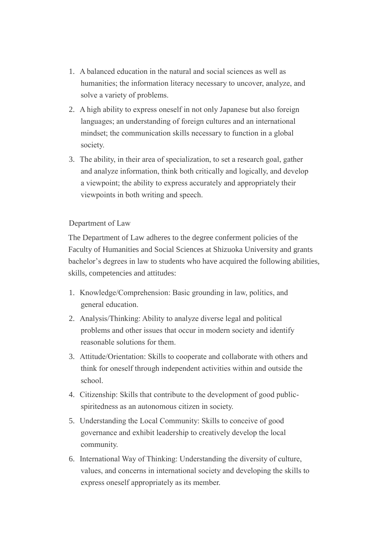- 1. A balanced education in the natural and social sciences as well as humanities; the information literacy necessary to uncover, analyze, and solve a variety of problems.
- 2. A high ability to express oneself in not only Japanese but also foreign languages; an understanding of foreign cultures and an international mindset; the communication skills necessary to function in a global society.
- 3. The ability, in their area of specialization, to set a research goal, gather and analyze information, think both critically and logically, and develop a viewpoint; the ability to express accurately and appropriately their viewpoints in both writing and speech.

## Department of Law

The Department of Law adheres to the degree conferment policies of the Faculty of Humanities and Social Sciences at Shizuoka University and grants bachelor's degrees in law to students who have acquired the following abilities, skills, competencies and attitudes:

- 1. Knowledge/Comprehension: Basic grounding in law, politics, and general education.
- 2. Analysis/Thinking: Ability to analyze diverse legal and political problems and other issues that occur in modern society and identify reasonable solutions for them.
- 3. Attitude/Orientation: Skills to cooperate and collaborate with others and think for oneself through independent activities within and outside the school.
- 4. Citizenship: Skills that contribute to the development of good publicspiritedness as an autonomous citizen in society.
- 5. Understanding the Local Community: Skills to conceive of good governance and exhibit leadership to creatively develop the local community.
- 6. International Way of Thinking: Understanding the diversity of culture, values, and concerns in international society and developing the skills to express oneself appropriately as its member.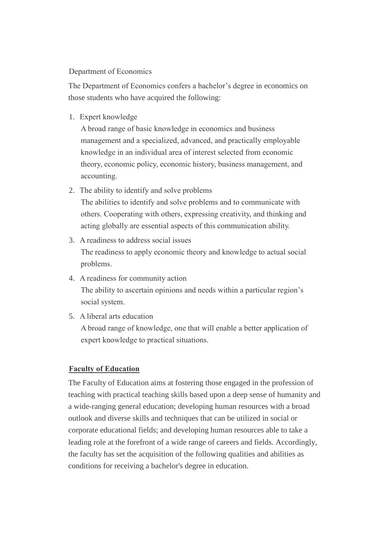## Department of Economics

The Department of Economics confers a bachelor's degree in economics on those students who have acquired the following:

1. Expert knowledge

A broad range of basic knowledge in economics and business management and a specialized, advanced, and practically employable knowledge in an individual area of interest selected from economic theory, economic policy, economic history, business management, and accounting.

2. The ability to identify and solve problems

The abilities to identify and solve problems and to communicate with others. Cooperating with others, expressing creativity, and thinking and acting globally are essential aspects of this communication ability.

- 3. A readiness to address social issues The readiness to apply economic theory and knowledge to actual social problems.
- 4. A readiness for community action The ability to ascertain opinions and needs within a particular region's social system.
- 5. A liberal arts education

A broad range of knowledge, one that will enable a better application of expert knowledge to practical situations.

# **Faculty of Education**

The Faculty of Education aims at fostering those engaged in the profession of teaching with practical teaching skills based upon a deep sense of humanity and a wide-ranging general education; developing human resources with a broad outlook and diverse skills and techniques that can be utilized in social or corporate educational fields; and developing human resources able to take a leading role at the forefront of a wide range of careers and fields. Accordingly, the faculty has set the acquisition of the following qualities and abilities as conditions for receiving a bachelor's degree in education.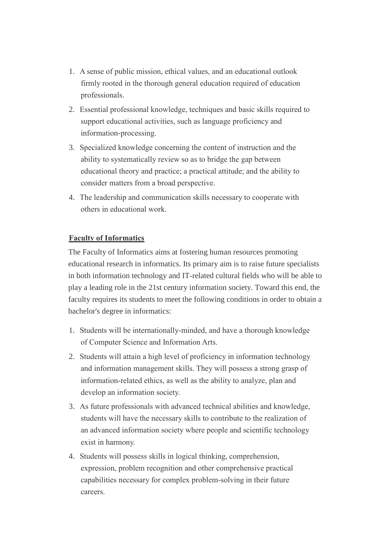- 1. A sense of public mission, ethical values, and an educational outlook firmly rooted in the thorough general education required of education professionals.
- 2. Essential professional knowledge, techniques and basic skills required to support educational activities, such as language proficiency and information-processing.
- 3. Specialized knowledge concerning the content of instruction and the ability to systematically review so as to bridge the gap between educational theory and practice; a practical attitude; and the ability to consider matters from a broad perspective.
- 4. The leadership and communication skills necessary to cooperate with others in educational work.

# **Faculty of Informatics**

The Faculty of Informatics aims at fostering human resources promoting educational research in informatics. Its primary aim is to raise future specialists in both information technology and IT-related cultural fields who will be able to play a leading role in the 21st century information society. Toward this end, the faculty requires its students to meet the following conditions in order to obtain a bachelor's degree in informatics:

- 1. Students will be internationally-minded, and have a thorough knowledge of Computer Science and Information Arts.
- 2. Students will attain a high level of proficiency in information technology and information management skills. They will possess a strong grasp of information-related ethics, as well as the ability to analyze, plan and develop an information society.
- 3. As future professionals with advanced technical abilities and knowledge, students will have the necessary skills to contribute to the realization of an advanced information society where people and scientific technology exist in harmony.
- 4. Students will possess skills in logical thinking, comprehension, expression, problem recognition and other comprehensive practical capabilities necessary for complex problem-solving in their future careers.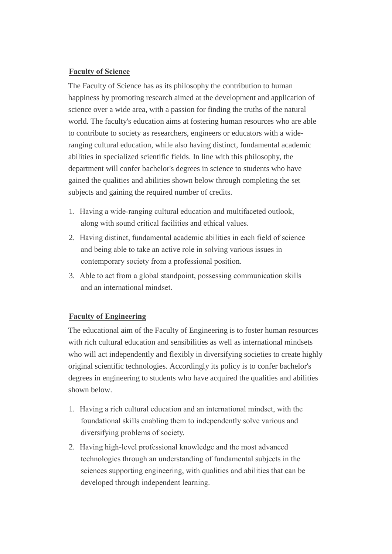# **Faculty of Science**

The Faculty of Science has as its philosophy the contribution to human happiness by promoting research aimed at the development and application of science over a wide area, with a passion for finding the truths of the natural world. The faculty's education aims at fostering human resources who are able to contribute to society as researchers, engineers or educators with a wideranging cultural education, while also having distinct, fundamental academic abilities in specialized scientific fields. In line with this philosophy, the department will confer bachelor's degrees in science to students who have gained the qualities and abilities shown below through completing the set subjects and gaining the required number of credits.

- 1. Having a wide-ranging cultural education and multifaceted outlook, along with sound critical facilities and ethical values.
- 2. Having distinct, fundamental academic abilities in each field of science and being able to take an active role in solving various issues in contemporary society from a professional position.
- 3. Able to act from a global standpoint, possessing communication skills and an international mindset.

### **Faculty of Engineering**

The educational aim of the Faculty of Engineering is to foster human resources with rich cultural education and sensibilities as well as international mindsets who will act independently and flexibly in diversifying societies to create highly original scientific technologies. Accordingly its policy is to confer bachelor's degrees in engineering to students who have acquired the qualities and abilities shown below.

- 1. Having a rich cultural education and an international mindset, with the foundational skills enabling them to independently solve various and diversifying problems of society.
- 2. Having high-level professional knowledge and the most advanced technologies through an understanding of fundamental subjects in the sciences supporting engineering, with qualities and abilities that can be developed through independent learning.